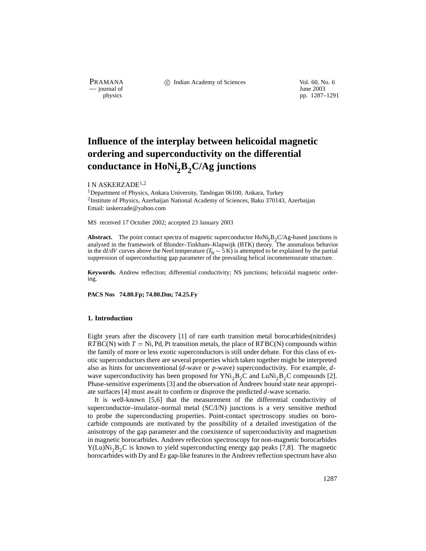— journal of<br>physics

PRAMANA 
<sup>c</sup> Indian Academy of Sciences 
<sup>Vol. 60, No. 6
<sup>1</sup> June 2003</sup>

pp. 1287–1291

# **Influence of the interplay between helicoidal magnetic ordering and superconductivity on the differential** conductance in HoNi<sub>2</sub>B<sub>2</sub>C/Ag junctions

# I N ASKERZADE1;<sup>2</sup>

<sup>1</sup>Department of Physics, Ankara University, Tandogan 06100, Ankara, Turkey <sup>2</sup>Institute of Physics, Azerbaijan National Academy of Sciences, Baku 370143, Azerbaijan Email: iaskerzade@yahoo.com

MS received 17 October 2002; accepted 23 January 2003

**Abstract.** The point contact spectra of magnetic superconductor  $HoNi,B_2C/Ag$ -based junctions is analysed in the framework of Blonder–Tinkham–Klapwijk (BTK) theory. The anomalous behavior in the d*I*/d*V* curves above the Neel temperature  $(T_N \sim 5 \text{ K})$  is attempted to be explained by the partial suppression of superconducting gap parameter of the prevailing helical incommensurate structure.

**Keywords.** Andrew reflection; differential conductivity; NS junctions; helicoidal magnetic ordering.

**PACS Nos 74.80.Fp; 74.80.Dm; 74.25.Fy**

# **1. Introduction**

Eight years after the discovery [1] of rare earth transition metal borocarbides(nitrides)  $RTBC(N)$  with  $T = Ni$ , Pd, Pt transition metals, the place of  $RTBC(N)$  compounds within the family of more or less exotic superconductors is still under debate. For this class of exotic superconductors there are several properties which taken together might be interpreted also as hints for unconventional (*d*-wave or *p*-wave) superconductivity. For example, *d*wave superconductivity has been proposed for  $YNi<sub>2</sub>B<sub>2</sub>C$  and LuNi<sub>2</sub>B<sub>2</sub>C compounds [2]. Phase-sensitive experiments [3] and the observation of Andreev bound state near appropriate surfaces [4] must await to confirm or disprove the predicted *d*-wave scenario.

It is well-known [5,6] that the measurement of the differential conductivity of superconductor–insulator–normal metal (SC/I/N) junctions is a very sensitive method to probe the superconducting properties. Point-contact spectroscopy studies on borocarbide compounds are motivated by the possibility of a detailed investigation of the anisotropy of the gap parameter and the coexistence of superconductivity and magnetism in magnetic borocarbides. Andreev reflection spectroscopy for non-magnetic borocarbides  $Y(Lu)Ni<sub>2</sub>B<sub>2</sub>C$  is known to yield superconducting energy gap peaks [7,8]. The magnetic borocarbides with Dy and Er gap-like features in the Andreev reflection spectrum have also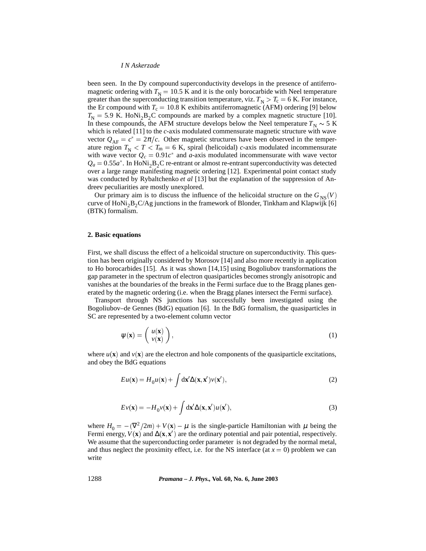been seen. In the Dy compound superconductivity develops in the presence of antiferromagnetic ordering with  $T<sub>N</sub> = 10.5$  K and it is the only borocarbide with Neel temperature greater than the superconducting transition temperature, viz.  $T_N > T_c = 6$  K. For instance, the Er compound with  $T_c = 10.8$  K exhibits antiferromagnetic (AFM) ordering [9] below  $T_{\rm N}$  = 5.9 K. HoNi<sub>2</sub>B<sub>2</sub>C compounds are marked by a complex magnetic structure [10]. In these compounds, the AFM structure develops below the Neel temperature  $T_N \sim 5$  K which is related [11] to the *c*-axis modulated commensurate magnetic structure with wave vector  $Q_{AF} = c^* = 2\pi/c$ . Other magnetic structures have been observed in the temperature region  $T_N < T < T_m = 6$  K, spiral (helicoidal) *c*-axis modulated incommensurate with wave vector  $Q_c = 0.91c^*$  and *a*-axis modulated incommensurate with wave vector  $Q_a = 0.55a^*$ . In HoNi<sub>2</sub>B<sub>2</sub>C re-entrant or almost re-entrant superconductivity was detected over a large range manifesting magnetic ordering [12]. Experimental point contact study was conducted by Rybaltchenko *et al* [13] but the explanation of the suppression of Andreev peculiarities are mostly unexplored.

Our primary aim is to discuss the influence of the helicoidal structure on the  $G_{NS}(V)$ curve of  $HoNi<sub>2</sub>B<sub>2</sub>C/Ag$  junctions in the framework of Blonder, Tinkham and Klapwijk [6] (BTK) formalism.

#### **2. Basic equations**

First, we shall discuss the effect of a helicoidal structure on superconductivity. This question has been originally considered by Morosov [14] and also more recently in application to Ho borocarbides [15]. As it was shown [14,15] using Bogoliubov transformations the gap parameter in the spectrum of electron quasiparticles becomes strongly anisotropic and vanishes at the boundaries of the breaks in the Fermi surface due to the Bragg planes generated by the magnetic ordering (i.e. when the Bragg planes intersect the Fermi surface).

Transport through NS junctions has successfully been investigated using the Bogoliubov–de Gennes (BdG) equation [6]. In the BdG formalism, the quasiparticles in SC are represented by a two-element column vector

$$
\psi(\mathbf{x}) = \left(\begin{array}{c} u(\mathbf{x}) \\ v(\mathbf{x}) \end{array}\right),\tag{1}
$$

where  $u(\mathbf{x})$  and  $v(\mathbf{x})$  are the electron and hole components of the quasiparticle excitations, and obey the BdG equations

$$
Eu(\mathbf{x}) = H_0 u(\mathbf{x}) + \int d\mathbf{x}' \Delta(\mathbf{x}, \mathbf{x}') \nu(\mathbf{x}'),
$$
\n(2)

$$
Ev(\mathbf{x}) = -H_0 v(\mathbf{x}) + \int d\mathbf{x}' \Delta(\mathbf{x}, \mathbf{x}') u(\mathbf{x}'),
$$
\n(3)

where  $H_0 = -(\nabla^2/2m) + V(\mathbf{x}) - \mu$  is the single-particle Hamiltonian with  $\mu$  being the Fermi energy,  $V(\mathbf{x})$  and  $\Delta(\mathbf{x}, \mathbf{x}')$  are the ordinary potential and pair potential, respectively. We assume that the superconducting order parameter is not degraded by the normal metal, and thus neglect the proximity effect, i.e. for the NS interface (at  $x = 0$ ) problem we can write

1288 *Pramana – J. Phys.,* **Vol. 60, No. 6, June 2003**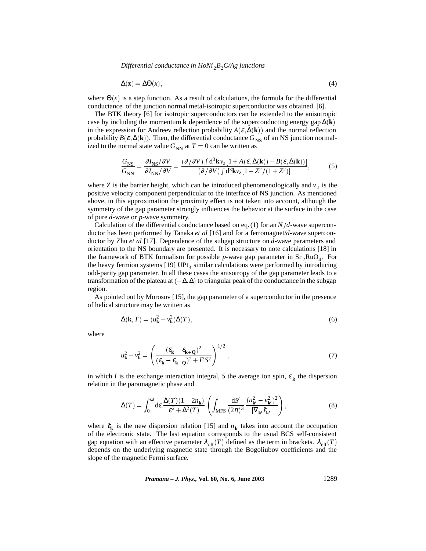*Differential conductance in HoNi<sub>2</sub><i>B*<sub>2</sub>*C/Ag junctions* 

$$
\Delta(\mathbf{x}) = \Delta\Theta(x),\tag{4}
$$

where  $\Theta(x)$  is a step function. As a result of calculations, the formula for the differential conductance of the junction normal metal-isotropic superconductor was obtained [6].

The BTK theory [6] for isotropic superconductors can be extended to the anisotropic case by including the momentum **k** dependence of the superconducting energy gap ∆(**k**) in the expression for Andreev reflection probability  $A(\varepsilon, \Delta(\mathbf{k}))$  and the normal reflection probability  $B(\varepsilon, \Delta(\mathbf{k}))$ . Then, the differential conductance  $G_{\text{NS}}$  of an NS junction normalized to the normal state value  $G_{NN}$  at  $T = 0$  can be written as

$$
\frac{G_{\rm NS}}{G_{\rm NN}} = \frac{\partial I_{\rm NS}/\partial V}{\partial I_{\rm NN}/\partial V} = \frac{(\partial/\partial V) \int d^3 \mathbf{k} \, v_z \left[1 + A(\varepsilon, \Delta(\mathbf{k})) - B(\varepsilon, \Delta(\mathbf{k}))\right]}{(\partial/\partial V) \int d^3 \mathbf{k} \, v_z \left[1 - Z^2 / (1 + Z^2)\right]},\tag{5}
$$

where *Z* is the barrier height, which can be introduced phenomenologically and  $v<sub>z</sub>$  is the positive velocity component perpendicular to the interface of NS junction. As mentioned above, in this approximation the proximity effect is not taken into account, although the symmetry of the gap parameter strongly influences the behavior at the surface in the case of pure *d*-wave or *p*-wave symmetry.

Calculation of the differential conductance based on eq. (1) for an  $N/d$ -wave superconductor has been performed by Tanaka *et al* [16] and for a ferromagnet/*d*-wave superconductor by Zhu *et al* [17]. Dependence of the subgap structure on *d*-wave parameters and orientation to the NS boundary are presented. It is necessary to note calculations [18] in the framework of BTK formalism for possible *p*-wave gap parameter in  $Sr_2RuO<sub>4</sub>$ . For the heavy fermion systems  $[19]$  UPt<sub>3</sub> similar calculations were performed by introducing odd-parity gap parameter. In all these cases the anisotropy of the gap parameter leads to a transformation of the plateau at  $(-\Delta,\Delta)$  to triangular peak of the conductance in the subgap region.

As pointed out by Morosov [15], the gap parameter of a superconductor in the presence of helical structure may be written as

$$
\Delta(\mathbf{k},T) = (u_{\mathbf{k}}^2 - v_{\mathbf{k}}^2)\Delta(T),\tag{6}
$$

where

$$
u_{\mathbf{k}}^2 - v_{\mathbf{k}}^2 = \left(\frac{(\varepsilon_{\mathbf{k}} - \varepsilon_{\mathbf{k} + \mathbf{Q}})^2}{(\varepsilon_{\mathbf{k}} - \varepsilon_{\mathbf{k} + \mathbf{Q}})^2 + I^2 S^2}\right)^{1/2},\tag{7}
$$

in which *I* is the exchange interaction integral, *S* the average ion spin,  $\varepsilon_k$  the dispersion relation in the paramagnetic phase and

$$
\Delta(T) = \int_0^\omega \mathrm{d}\varepsilon \, \frac{\Delta(T) \, (1 - 2n_\mathbf{k})}{\varepsilon^2 + \Delta^2(T)} \left( \int_{\mathrm{MFS}} \frac{\mathrm{d}S'}{(2\pi)^3} \, \frac{(u_\mathbf{k'}^2 - v_\mathbf{k'}^2)^2}{|\nabla_\mathbf{k'} \tilde{\varepsilon}_{\mathbf{k'}}|} \right),\tag{8}
$$

where  $\tilde{\epsilon}_k$  is the new dispersion relation [15] and  $n_k$  takes into account the occupation of the electronic state. The last equation corresponds to the usual BCS self-consistent gap equation with an effective parameter  $\lambda_{\text{eff}}(T)$  defined as the term in brackets.  $\lambda_{\text{eff}}(T)$ depends on the underlying magnetic state through the Bogoliubov coefficients and the slope of the magnetic Fermi surface.

*Pramana – J. Phys.,* **Vol. 60, No. 6, June 2003** 1289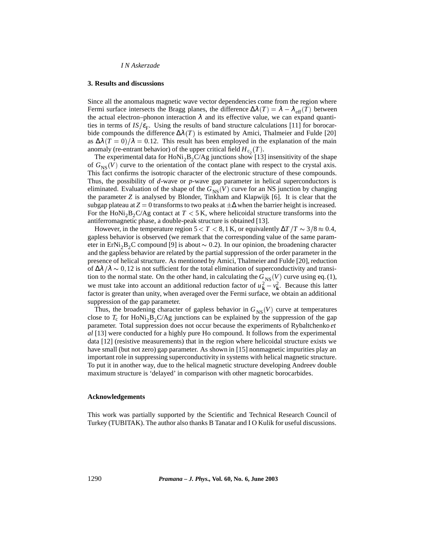*I N Askerzade*

### **3. Results and discussions**

Since all the anomalous magnetic wave vector dependencies come from the region where Fermi surface intersects the Bragg planes, the difference  $\Delta\lambda(T) = \lambda - \lambda_{\text{eff}}(T)$  between the actual electron–phonon interaction  $\lambda$  and its effective value, we can expand quantities in terms of  $IS/\varepsilon_F$ . Using the results of band structure calculations [11] for borocarbide compounds the difference  $\Delta\lambda(T)$  is estimated by Amici, Thalmeier and Fulde [20] as  $\Delta\lambda(T=0)/\lambda = 0.12$ . This result has been employed in the explanation of the main anomaly (re-entrant behavior) of the upper critical field  $H_{c_2}(T)$ .

The experimental data for  $HoNi<sub>2</sub>B<sub>2</sub>C/Ag$  junctions show [13] insensitivity of the shape of  $G_{NS}(V)$  curve to the orientation of the contact plane with respect to the crystal axis. This fact confirms the isotropic character of the electronic structure of these compounds. Thus, the possibility of *d*-wave or *p*-wave gap parameter in helical superconductors is eliminated. Evaluation of the shape of the  $G_{NS}(V)$  curve for an NS junction by changing the parameter *Z* is analysed by Blonder, Tinkham and Klapwijk [6]. It is clear that the subgap plateau at  $Z = 0$  transforms to two peaks at  $\pm \Delta$  when the barrier height is increased. For the HoNi<sub>2</sub>B<sub>2</sub>C/Ag contact at  $T < 5$  K, where helicoidal structure transforms into the antiferromagnetic phase, a double-peak structure is obtained [13].

However, in the temperature region  $5 < T < 8$ , 1 K, or equivalently  $\Delta T/T \sim 3/8 \approx 0.4$ , gapless behavior is observed (we remark that the corresponding value of the same parameter in ErNi<sub>2</sub>B<sub>2</sub>C compound [9] is about  $\sim$  0.2). In our opinion, the broadening character and the gapless behavior are related by the partial suppression of the order parameter in the presence of helical structure. As mentioned by Amici, Thalmeier and Fulde [20], reduction of  $\Delta\lambda/\lambda \sim 0$ , 12 is not sufficient for the total elimination of superconductivity and transition to the normal state. On the other hand, in calculating the  $G_{NS}(V)$  curve using eq. (1), we must take into account an additional reduction factor of  $u_k^2 - v_k^2$ . Because this latter factor is greater than unity, when averaged over the Fermi surface, we obtain an additional suppression of the gap parameter.

Thus, the broadening character of gapless behavior in  $G_{NS}(V)$  curve at temperatures close to  $T_c$  for HoNi<sub>2</sub>B<sub>2</sub>C/Ag junctions can be explained by the suppression of the gap parameter. Total suppression does not occur because the experiments of Rybaltchenko *et al* [13] were conducted for a highly pure Ho compound. It follows from the experimental data [12] (resistive measurements) that in the region where helicoidal structure exists we have small (but not zero) gap parameter. As shown in [15] nonmagnetic impurities play an important role in suppressing superconductivity in systems with helical magnetic structure. To put it in another way, due to the helical magnetic structure developing Andreev double maximum structure is 'delayed' in comparison with other magnetic borocarbides.

## **Acknowledgements**

This work was partially supported by the Scientific and Technical Research Council of Turkey (TUBITAK). The author also thanks B Tanatar and I O Kulik for useful discussions.

1290 *Pramana – J. Phys.,* **Vol. 60, No. 6, June 2003**